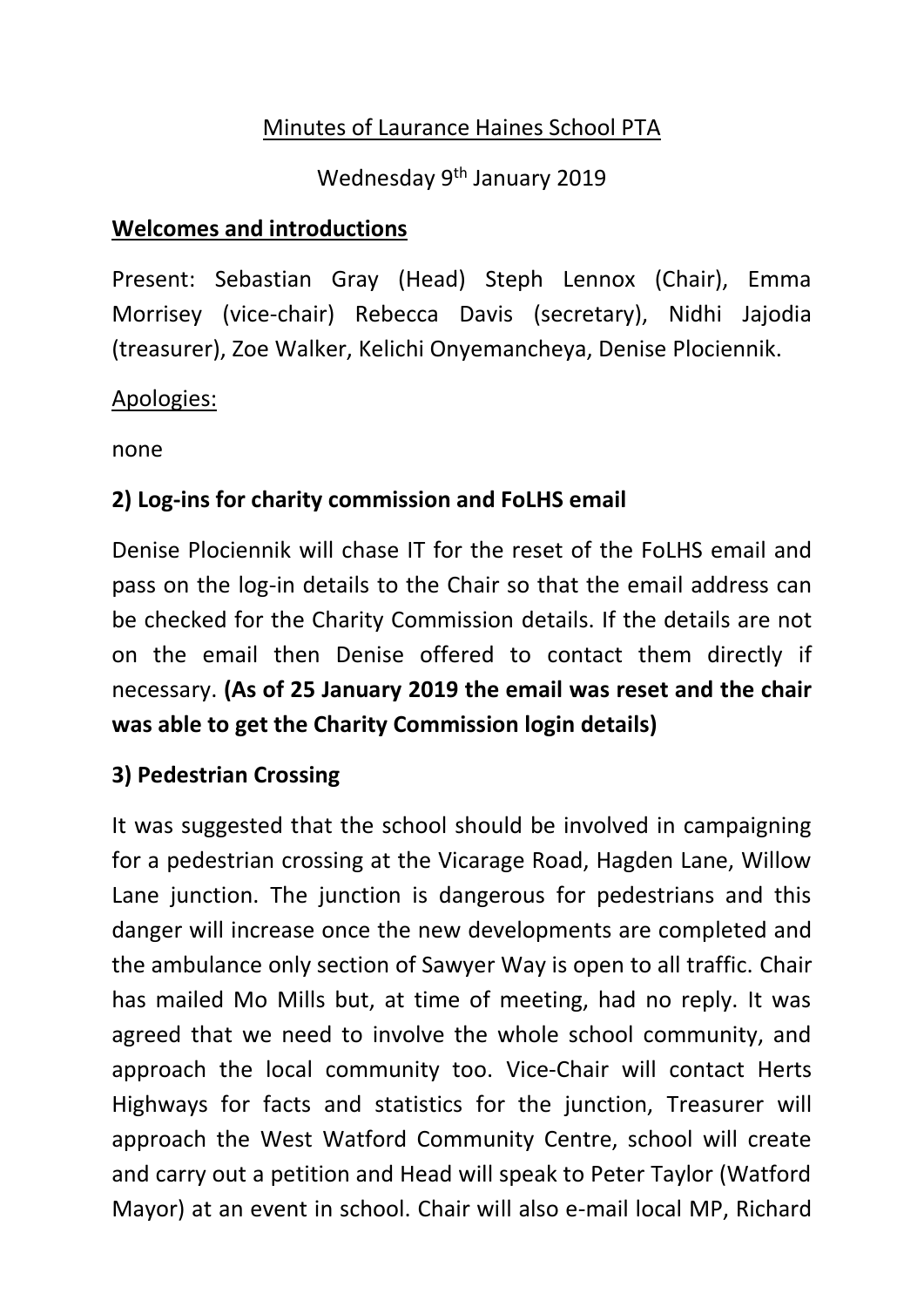## Minutes of Laurance Haines School PTA

Wednesday 9<sup>th</sup> January 2019

### **Welcomes and introductions**

Present: Sebastian Gray (Head) Steph Lennox (Chair), Emma Morrisey (vice-chair) Rebecca Davis (secretary), Nidhi Jajodia (treasurer), Zoe Walker, Kelichi Onyemancheya, Denise Plociennik.

#### Apologies:

none

## **2) Log-ins for charity commission and FoLHS email**

Denise Plociennik will chase IT for the reset of the FoLHS email and pass on the log-in details to the Chair so that the email address can be checked for the Charity Commission details. If the details are not on the email then Denise offered to contact them directly if necessary. **(As of 25 January 2019 the email was reset and the chair was able to get the Charity Commission login details)**

## **3) Pedestrian Crossing**

It was suggested that the school should be involved in campaigning for a pedestrian crossing at the Vicarage Road, Hagden Lane, Willow Lane junction. The junction is dangerous for pedestrians and this danger will increase once the new developments are completed and the ambulance only section of Sawyer Way is open to all traffic. Chair has mailed Mo Mills but, at time of meeting, had no reply. It was agreed that we need to involve the whole school community, and approach the local community too. Vice-Chair will contact Herts Highways for facts and statistics for the junction, Treasurer will approach the West Watford Community Centre, school will create and carry out a petition and Head will speak to Peter Taylor (Watford Mayor) at an event in school. Chair will also e-mail local MP, Richard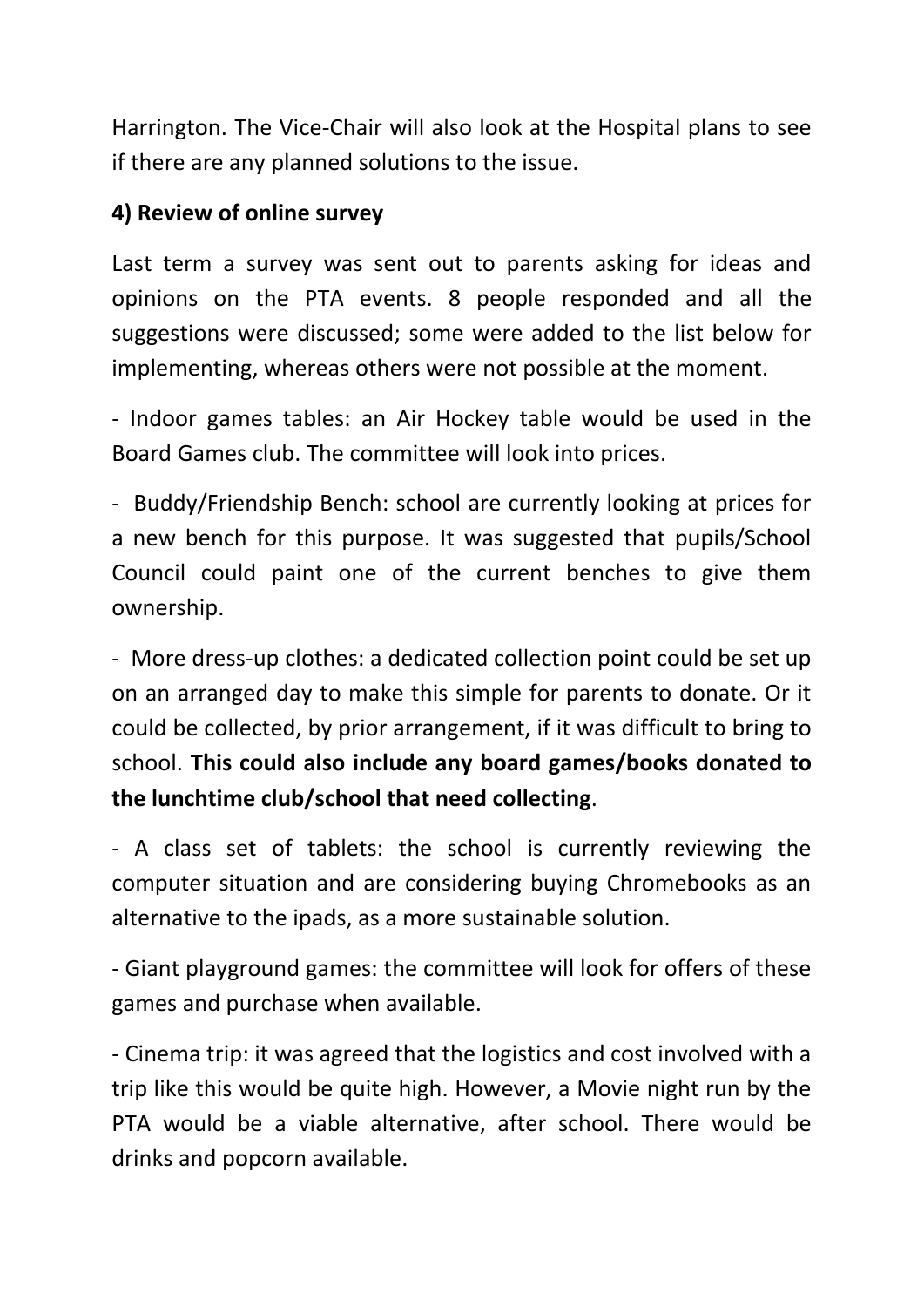Harrington. The Vice-Chair will also look at the Hospital plans to see if there are any planned solutions to the issue.

#### **4) Review of online survey**

Last term a survey was sent out to parents asking for ideas and opinions on the PTA events. 8 people responded and all the suggestions were discussed; some were added to the list below for implementing, whereas others were not possible at the moment.

- Indoor games tables: an Air Hockey table would be used in the Board Games club. The committee will look into prices.

- Buddy/Friendship Bench: school are currently looking at prices for a new bench for this purpose. It was suggested that pupils/School Council could paint one of the current benches to give them ownership.

- More dress-up clothes: a dedicated collection point could be set up on an arranged day to make this simple for parents to donate. Or it could be collected, by prior arrangement, if it was difficult to bring to school. **This could also include any board games/books donated to the lunchtime club/school that need collecting**.

- A class set of tablets: the school is currently reviewing the computer situation and are considering buying Chromebooks as an alternative to the ipads, as a more sustainable solution.

- Giant playground games: the committee will look for offers of these games and purchase when available.

- Cinema trip: it was agreed that the logistics and cost involved with a trip like this would be quite high. However, a Movie night run by the PTA would be a viable alternative, after school. There would be drinks and popcorn available.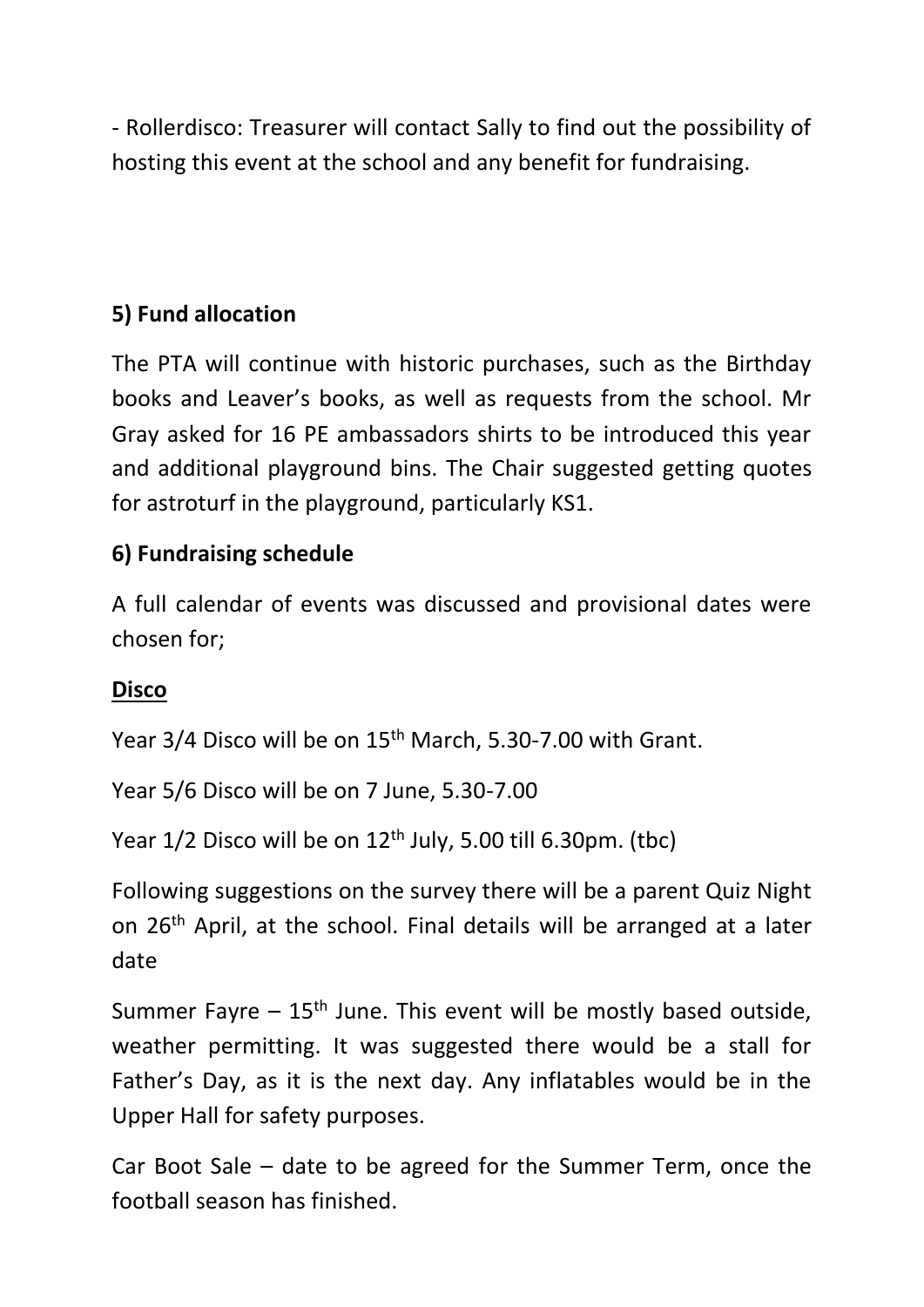- Rollerdisco: Treasurer will contact Sally to find out the possibility of hosting this event at the school and any benefit for fundraising.

# **5) Fund allocation**

The PTA will continue with historic purchases, such as the Birthday books and Leaver's books, as well as requests from the school. Mr Gray asked for 16 PE ambassadors shirts to be introduced this year and additional playground bins. The Chair suggested getting quotes for astroturf in the playground, particularly KS1.

## **6) Fundraising schedule**

A full calendar of events was discussed and provisional dates were chosen for;

#### **Disco**

Year 3/4 Disco will be on 15<sup>th</sup> March, 5.30-7.00 with Grant.

Year 5/6 Disco will be on 7 June, 5.30-7.00

Year 1/2 Disco will be on 12<sup>th</sup> July, 5.00 till 6.30pm. (tbc)

Following suggestions on the survey there will be a parent Quiz Night on 26th April, at the school. Final details will be arranged at a later date

Summer Fayre  $-15$ <sup>th</sup> June. This event will be mostly based outside, weather permitting. It was suggested there would be a stall for Father's Day, as it is the next day. Any inflatables would be in the Upper Hall for safety purposes.

Car Boot Sale – date to be agreed for the Summer Term, once the football season has finished.